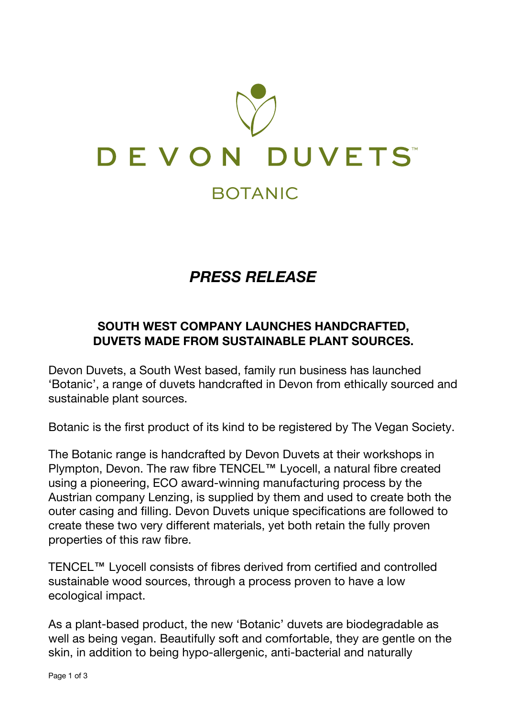

# *PRESS RELEASE*

## **SOUTH WEST COMPANY LAUNCHES HANDCRAFTED, DUVETS MADE FROM SUSTAINABLE PLANT SOURCES.**

Devon Duvets, a South West based, family run business has launched 'Botanic', a range of duvets handcrafted in Devon from ethically sourced and sustainable plant sources.

Botanic is the first product of its kind to be registered by The Vegan Society.

The Botanic range is handcrafted by Devon Duvets at their workshops in Plympton, Devon. The raw fibre TENCEL™ Lyocell, a natural fibre created using a pioneering, ECO award-winning manufacturing process by the Austrian company Lenzing, is supplied by them and used to create both the outer casing and filling. Devon Duvets unique specifications are followed to create these two very different materials, yet both retain the fully proven properties of this raw fibre.

TENCEL™ Lyocell consists of fibres derived from certified and controlled sustainable wood sources, through a process proven to have a low ecological impact.

As a plant-based product, the new 'Botanic' duvets are biodegradable as well as being vegan. Beautifully soft and comfortable, they are gentle on the skin, in addition to being hypo-allergenic, anti-bacterial and naturally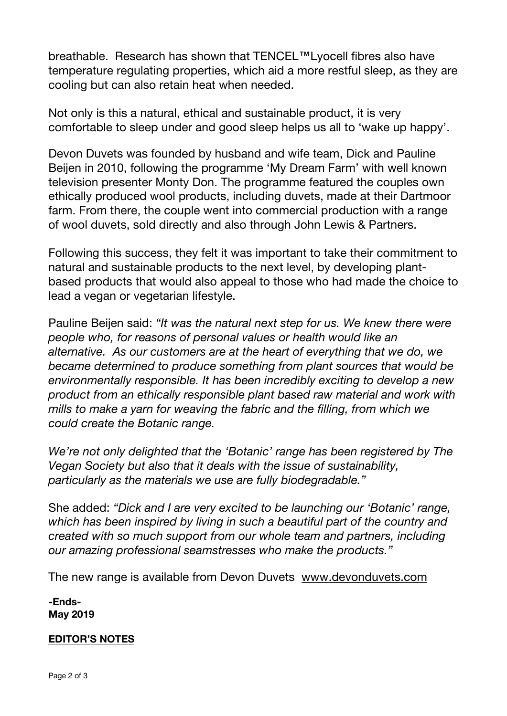breathable. Research has shown that TENCEL™Lyocell fibres also have temperature regulating properties, which aid a more restful sleep, as they are cooling but can also retain heat when needed.

Not only is this a natural, ethical and sustainable product, it is very comfortable to sleep under and good sleep helps us all to 'wake up happy'.

Devon Duvets was founded by husband and wife team, Dick and Pauline Beijen in 2010, following the programme 'My Dream Farm' with well known television presenter Monty Don. The programme featured the couples own ethically produced wool products, including duvets, made at their Dartmoor farm. From there, the couple went into commercial production with a range of wool duvets, sold directly and also through John Lewis & Partners.

Following this success, they felt it was important to take their commitment to natural and sustainable products to the next level, by developing plantbased products that would also appeal to those who had made the choice to lead a vegan or vegetarian lifestyle.

Pauline Beijen said: *"It was the natural next step for us. We knew there were people who, for reasons of personal values or health would like an alternative. As our customers are at the heart of everything that we do, we became determined to produce something from plant sources that would be environmentally responsible. It has been incredibly exciting to develop a new product from an ethically responsible plant based raw material and work with mills to make a yarn for weaving the fabric and the filling, from which we could create the Botanic range.*

*We're not only delighted that the 'Botanic' range has been registered by The Vegan Society but also that it deals with the issue of sustainability, particularly as the materials we use are fully biodegradable."*

She added: *"Dick and I are very excited to be launching our 'Botanic' range, which has been inspired by living in such a beautiful part of the country and created with so much support from our whole team and partners, including our amazing professional seamstresses who make the products."*

The new range is available from Devon Duvets www.devonduvets.com

**-Ends-May 2019**

### **EDITOR'S NOTES**